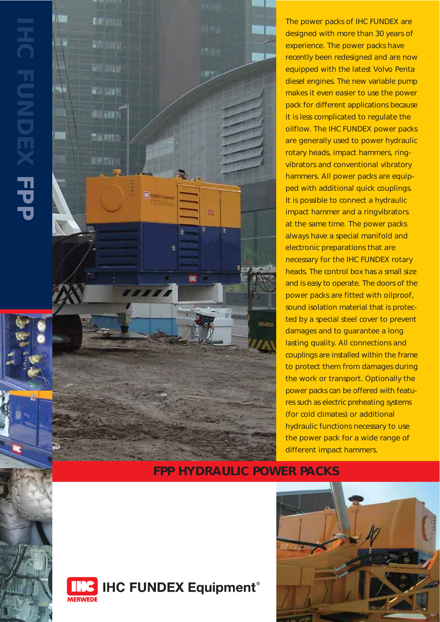## **IHC FUNDEX FPP X FPP**



The power packs of IHC FUNDEX are designed with more than 30 years of experience. The power packs have recently been redesigned and are now equipped with the latest Volvo Penta diesel engines. The new variable pump makes it even easier to use the power pack for different applications because it is less complicated to regulate the oilflow. The IHC FUNDEX power packs are generally used to power hydraulic rotary heads, impact hammers, ringvibrators and conventional vibratory hammers. All power packs are equipped with additional quick couplings. It is possible to connect a hydraulic impact hammer and a ringvibrators at the same time. The power packs always have a special manifold and electronic preparations that are necessary for the IHC FUNDEX rotary heads. The control box has a small size and is easy to operate. The doors of the power packs are fitted with oilproof, sound isolation material that is protected by a special steel cover to prevent damages and to guarantee a long lasting quality. All connections and couplings are installed within the frame to protect them from damages during the work or transport. Optionally the power packs can be offered with features such as electric preheating systems (for cold climates) or additional hydraulic functions necessary to use the power pack for a wide range of different impact hammers.

## **FPP HYDRAULIC POWER PACKS**